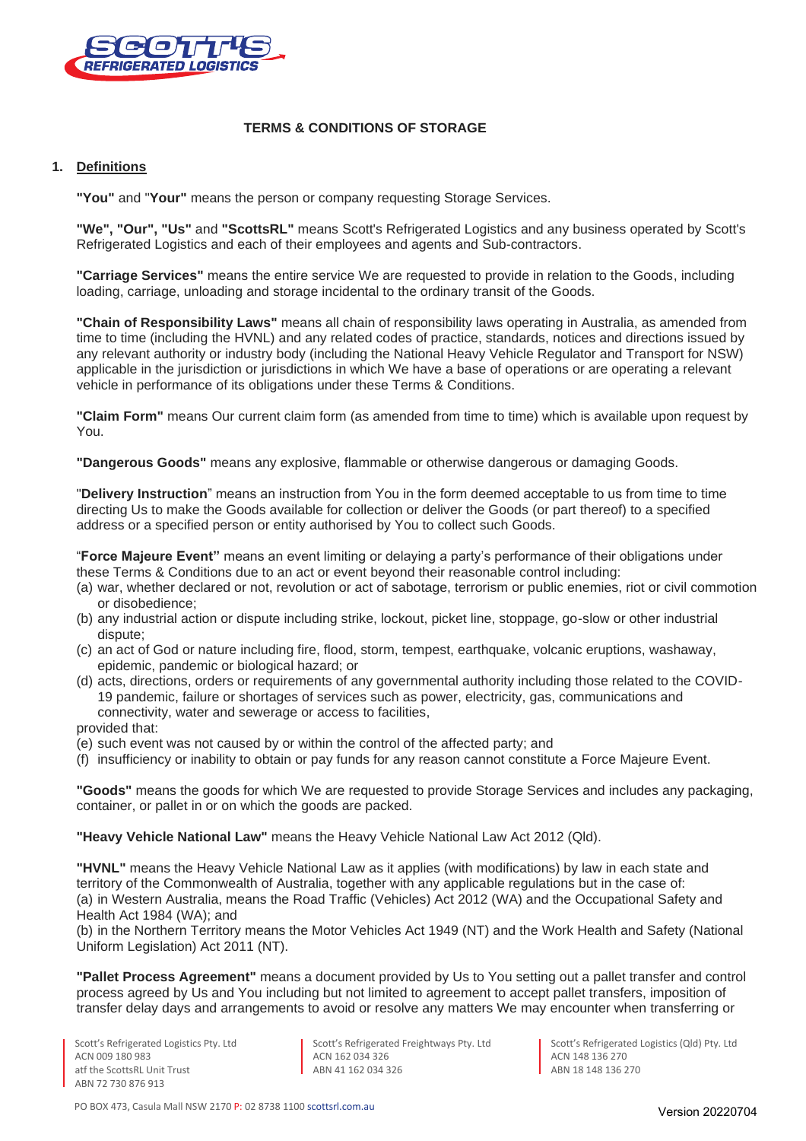

# **TERMS & CONDITIONS OF STORAGE**

# **1. Definitions**

**"You"** and "**Your"** means the person or company requesting Storage Services.

**"We", "Our", "Us"** and **"ScottsRL"** means Scott's Refrigerated Logistics and any business operated by Scott's Refrigerated Logistics and each of their employees and agents and Sub-contractors.

**"Carriage Services"** means the entire service We are requested to provide in relation to the Goods, including loading, carriage, unloading and storage incidental to the ordinary transit of the Goods.

**"Chain of Responsibility Laws"** means all chain of responsibility laws operating in Australia, as amended from time to time (including the HVNL) and any related codes of practice, standards, notices and directions issued by any relevant authority or industry body (including the National Heavy Vehicle Regulator and Transport for NSW) applicable in the jurisdiction or jurisdictions in which We have a base of operations or are operating a relevant vehicle in performance of its obligations under these Terms & Conditions.

**"Claim Form"** means Our current claim form (as amended from time to time) which is available upon request by You.

**"Dangerous Goods"** means any explosive, flammable or otherwise dangerous or damaging Goods.

"**Delivery Instruction**" means an instruction from You in the form deemed acceptable to us from time to time directing Us to make the Goods available for collection or deliver the Goods (or part thereof) to a specified address or a specified person or entity authorised by You to collect such Goods.

"**Force Majeure Event"** means an event limiting or delaying a party's performance of their obligations under these Terms & Conditions due to an act or event beyond their reasonable control including:

- (a) war, whether declared or not, revolution or act of sabotage, terrorism or public enemies, riot or civil commotion or disobedience;
- (b) any industrial action or dispute including strike, lockout, picket line, stoppage, go-slow or other industrial dispute;
- (c) an act of God or nature including fire, flood, storm, tempest, earthquake, volcanic eruptions, washaway, epidemic, pandemic or biological hazard; or
- (d) acts, directions, orders or requirements of any governmental authority including those related to the COVID-19 pandemic, failure or shortages of services such as power, electricity, gas, communications and connectivity, water and sewerage or access to facilities,

provided that:

- (e) such event was not caused by or within the control of the affected party; and
- (f) insufficiency or inability to obtain or pay funds for any reason cannot constitute a Force Majeure Event.

**"Goods"** means the goods for which We are requested to provide Storage Services and includes any packaging, container, or pallet in or on which the goods are packed.

**"Heavy Vehicle National Law"** means the Heavy Vehicle National Law Act 2012 (Qld).

**"HVNL"** means the Heavy Vehicle National Law as it applies (with modifications) by law in each state and territory of the Commonwealth of Australia, together with any applicable regulations but in the case of: (a) in Western Australia, means the Road Traffic (Vehicles) Act 2012 (WA) and the Occupational Safety and Health Act 1984 (WA); and

(b) in the Northern Territory means the Motor Vehicles Act 1949 (NT) and the Work Health and Safety (National Uniform Legislation) Act 2011 (NT).

**"Pallet Process Agreement"** means a document provided by Us to You setting out a pallet transfer and control process agreed by Us and You including but not limited to agreement to accept pallet transfers, imposition of transfer delay days and arrangements to avoid or resolve any matters We may encounter when transferring or

Scott's Refrigerated Freightways Pty. Ltd ACN 162 034 326 ABN 41 162 034 326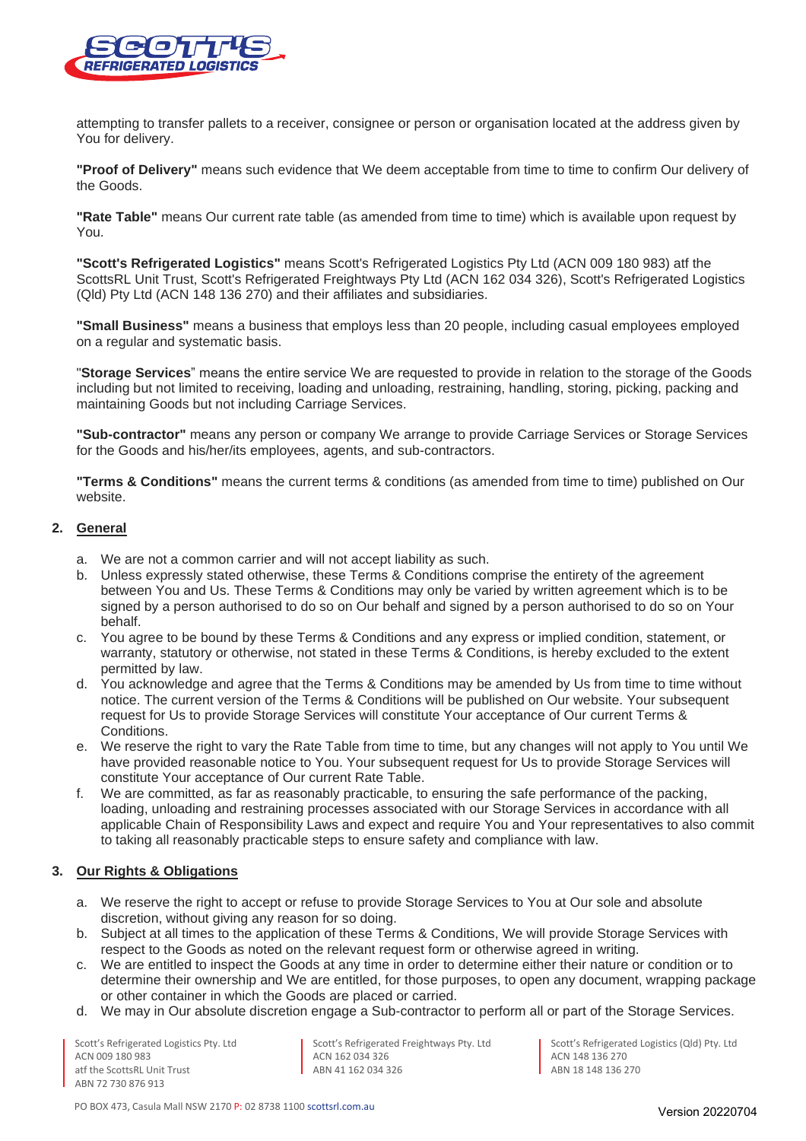

attempting to transfer pallets to a receiver, consignee or person or organisation located at the address given by You for delivery.

**"Proof of Delivery"** means such evidence that We deem acceptable from time to time to confirm Our delivery of the Goods.

**"Rate Table"** means Our current rate table (as amended from time to time) which is available upon request by You.

**"Scott's Refrigerated Logistics"** means Scott's Refrigerated Logistics Pty Ltd (ACN 009 180 983) atf the ScottsRL Unit Trust, Scott's Refrigerated Freightways Pty Ltd (ACN 162 034 326), Scott's Refrigerated Logistics (Qld) Pty Ltd (ACN 148 136 270) and their affiliates and subsidiaries.

**"Small Business"** means a business that employs less than 20 people, including casual employees employed on a regular and systematic basis.

"**Storage Services**" means the entire service We are requested to provide in relation to the storage of the Goods including but not limited to receiving, loading and unloading, restraining, handling, storing, picking, packing and maintaining Goods but not including Carriage Services.

**"Sub-contractor"** means any person or company We arrange to provide Carriage Services or Storage Services for the Goods and his/her/its employees, agents, and sub-contractors.

**"Terms & Conditions"** means the current terms & conditions (as amended from time to time) published on Our website.

#### **2. General**

- a. We are not a common carrier and will not accept liability as such.
- b. Unless expressly stated otherwise, these Terms & Conditions comprise the entirety of the agreement between You and Us. These Terms & Conditions may only be varied by written agreement which is to be signed by a person authorised to do so on Our behalf and signed by a person authorised to do so on Your behalf.
- c. You agree to be bound by these Terms & Conditions and any express or implied condition, statement, or warranty, statutory or otherwise, not stated in these Terms & Conditions, is hereby excluded to the extent permitted by law.
- d. You acknowledge and agree that the Terms & Conditions may be amended by Us from time to time without notice. The current version of the Terms & Conditions will be published on Our website. Your subsequent request for Us to provide Storage Services will constitute Your acceptance of Our current Terms & Conditions.
- e. We reserve the right to vary the Rate Table from time to time, but any changes will not apply to You until We have provided reasonable notice to You. Your subsequent request for Us to provide Storage Services will constitute Your acceptance of Our current Rate Table.
- f. We are committed, as far as reasonably practicable, to ensuring the safe performance of the packing, loading, unloading and restraining processes associated with our Storage Services in accordance with all applicable Chain of Responsibility Laws and expect and require You and Your representatives to also commit to taking all reasonably practicable steps to ensure safety and compliance with law.

#### **3. Our Rights & Obligations**

- a. We reserve the right to accept or refuse to provide Storage Services to You at Our sole and absolute discretion, without giving any reason for so doing.
- b. Subject at all times to the application of these Terms & Conditions, We will provide Storage Services with respect to the Goods as noted on the relevant request form or otherwise agreed in writing.
- c. We are entitled to inspect the Goods at any time in order to determine either their nature or condition or to determine their ownership and We are entitled, for those purposes, to open any document, wrapping package or other container in which the Goods are placed or carried.
- d. We may in Our absolute discretion engage a Sub-contractor to perform all or part of the Storage Services.

Scott's Refrigerated Logistics Pty. Ltd ACN 009 180 983 atf the ScottsRL Unit Trust ABN 72 730 876 913

Scott's Refrigerated Freightways Pty. Ltd ACN 162 034 326 ABN 41 162 034 326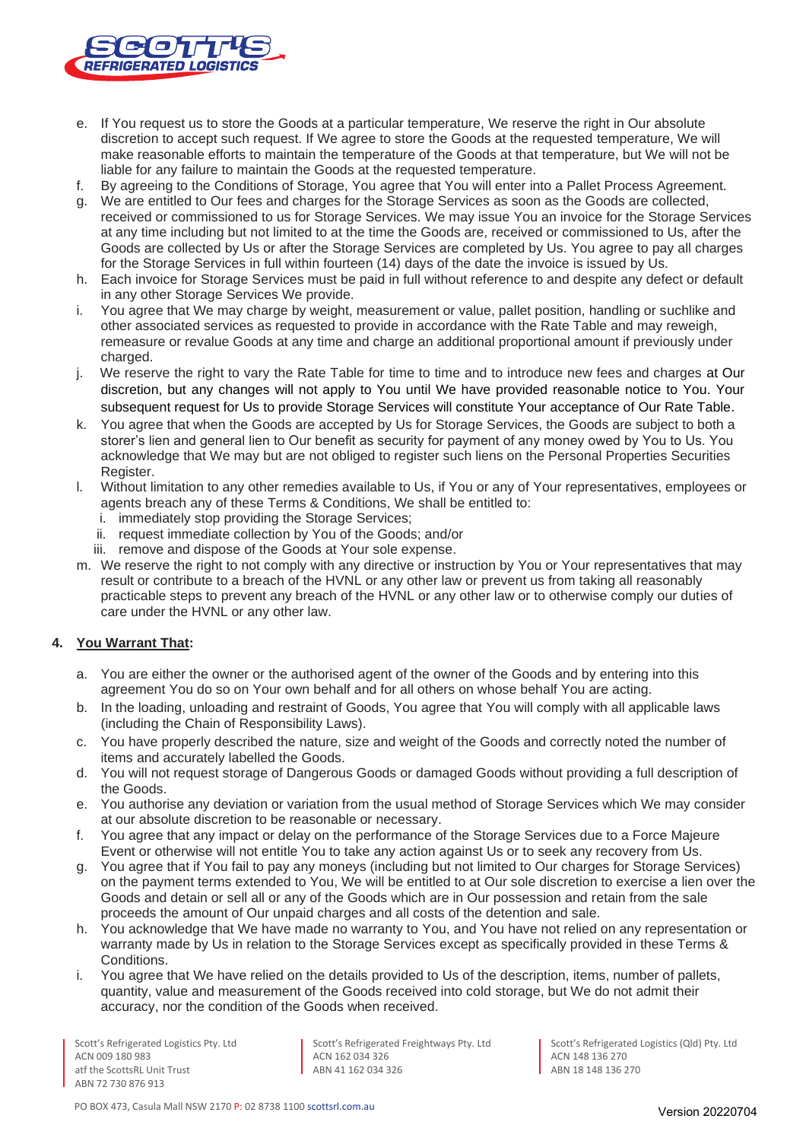

- e. If You request us to store the Goods at a particular temperature, We reserve the right in Our absolute discretion to accept such request. If We agree to store the Goods at the requested temperature, We will make reasonable efforts to maintain the temperature of the Goods at that temperature, but We will not be liable for any failure to maintain the Goods at the requested temperature.
- f. By agreeing to the Conditions of Storage, You agree that You will enter into a Pallet Process Agreement.
- g. We are entitled to Our fees and charges for the Storage Services as soon as the Goods are collected, received or commissioned to us for Storage Services. We may issue You an invoice for the Storage Services at any time including but not limited to at the time the Goods are, received or commissioned to Us, after the Goods are collected by Us or after the Storage Services are completed by Us. You agree to pay all charges for the Storage Services in full within fourteen (14) days of the date the invoice is issued by Us.
- h. Each invoice for Storage Services must be paid in full without reference to and despite any defect or default in any other Storage Services We provide.
- i. You agree that We may charge by weight, measurement or value, pallet position, handling or suchlike and other associated services as requested to provide in accordance with the Rate Table and may reweigh, remeasure or revalue Goods at any time and charge an additional proportional amount if previously under charged.
- j. We reserve the right to vary the Rate Table for time to time and to introduce new fees and charges at Our discretion, but any changes will not apply to You until We have provided reasonable notice to You. Your subsequent request for Us to provide Storage Services will constitute Your acceptance of Our Rate Table.
- k. You agree that when the Goods are accepted by Us for Storage Services, the Goods are subject to both a storer's lien and general lien to Our benefit as security for payment of any money owed by You to Us. You acknowledge that We may but are not obliged to register such liens on the Personal Properties Securities Register.
- l. Without limitation to any other remedies available to Us, if You or any of Your representatives, employees or agents breach any of these Terms & Conditions, We shall be entitled to:
	- i. immediately stop providing the Storage Services;
	- ii. request immediate collection by You of the Goods; and/or
	- iii. remove and dispose of the Goods at Your sole expense.
- m. We reserve the right to not comply with any directive or instruction by You or Your representatives that may result or contribute to a breach of the HVNL or any other law or prevent us from taking all reasonably practicable steps to prevent any breach of the HVNL or any other law or to otherwise comply our duties of care under the HVNL or any other law.

#### **4. You Warrant That:**

- a. You are either the owner or the authorised agent of the owner of the Goods and by entering into this agreement You do so on Your own behalf and for all others on whose behalf You are acting.
- b. In the loading, unloading and restraint of Goods, You agree that You will comply with all applicable laws (including the Chain of Responsibility Laws).
- c. You have properly described the nature, size and weight of the Goods and correctly noted the number of items and accurately labelled the Goods.
- d. You will not request storage of Dangerous Goods or damaged Goods without providing a full description of the Goods.
- e. You authorise any deviation or variation from the usual method of Storage Services which We may consider at our absolute discretion to be reasonable or necessary.
- f. You agree that any impact or delay on the performance of the Storage Services due to a Force Majeure Event or otherwise will not entitle You to take any action against Us or to seek any recovery from Us.
- g. You agree that if You fail to pay any moneys (including but not limited to Our charges for Storage Services) on the payment terms extended to You, We will be entitled to at Our sole discretion to exercise a lien over the Goods and detain or sell all or any of the Goods which are in Our possession and retain from the sale proceeds the amount of Our unpaid charges and all costs of the detention and sale.
- h. You acknowledge that We have made no warranty to You, and You have not relied on any representation or warranty made by Us in relation to the Storage Services except as specifically provided in these Terms & Conditions.
- i. You agree that We have relied on the details provided to Us of the description, items, number of pallets, quantity, value and measurement of the Goods received into cold storage, but We do not admit their accuracy, nor the condition of the Goods when received.

Scott's Refrigerated Logistics Pty. Ltd ACN 009 180 983 atf the ScottsRL Unit Trust ABN 72 730 876 913

Scott's Refrigerated Freightways Pty. Ltd ACN 162 034 326 ABN 41 162 034 326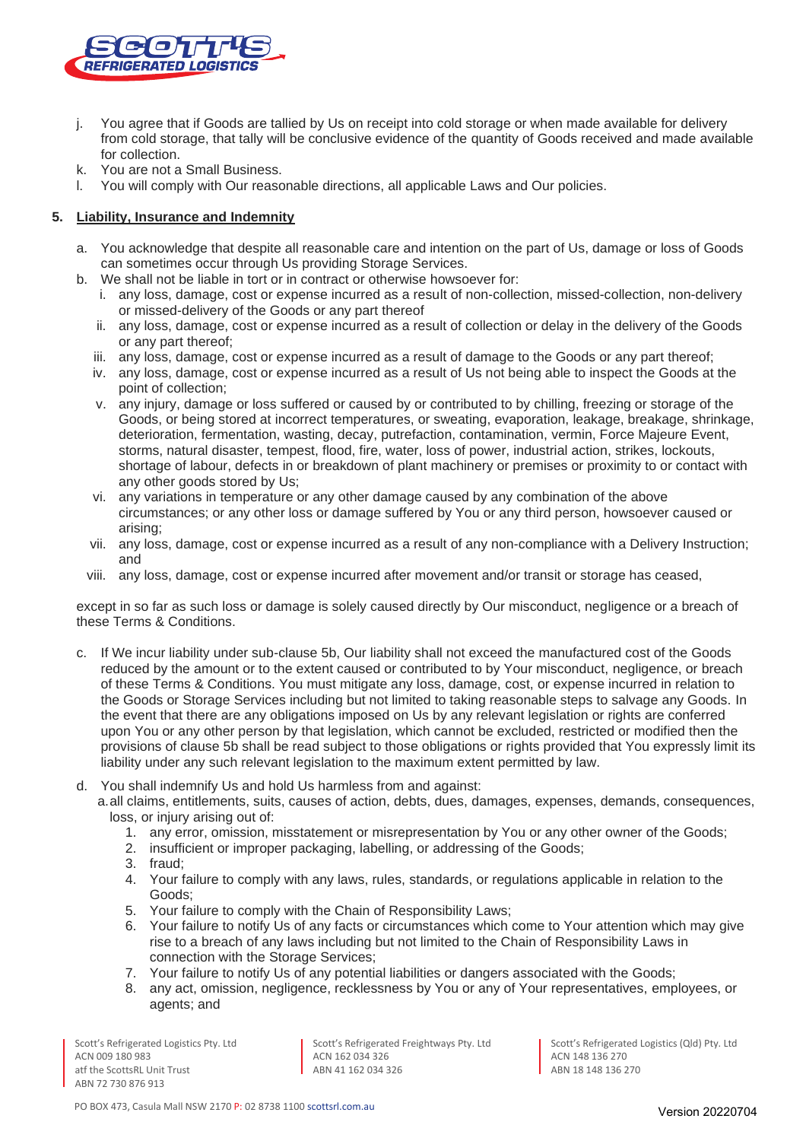

- j. You agree that if Goods are tallied by Us on receipt into cold storage or when made available for delivery from cold storage, that tally will be conclusive evidence of the quantity of Goods received and made available for collection.
- k. You are not a Small Business.
- l. You will comply with Our reasonable directions, all applicable Laws and Our policies.

# **5. Liability, Insurance and Indemnity**

- a. You acknowledge that despite all reasonable care and intention on the part of Us, damage or loss of Goods can sometimes occur through Us providing Storage Services.
- b. We shall not be liable in tort or in contract or otherwise howsoever for:
	- i. any loss, damage, cost or expense incurred as a result of non-collection, missed-collection, non-delivery or missed-delivery of the Goods or any part thereof
	- ii. any loss, damage, cost or expense incurred as a result of collection or delay in the delivery of the Goods or any part thereof;
	- iii. any loss, damage, cost or expense incurred as a result of damage to the Goods or any part thereof;
	- iv. any loss, damage, cost or expense incurred as a result of Us not being able to inspect the Goods at the point of collection;
	- v. any injury, damage or loss suffered or caused by or contributed to by chilling, freezing or storage of the Goods, or being stored at incorrect temperatures, or sweating, evaporation, leakage, breakage, shrinkage, deterioration, fermentation, wasting, decay, putrefaction, contamination, vermin, Force Majeure Event, storms, natural disaster, tempest, flood, fire, water, loss of power, industrial action, strikes, lockouts, shortage of labour, defects in or breakdown of plant machinery or premises or proximity to or contact with any other goods stored by Us;
	- vi. any variations in temperature or any other damage caused by any combination of the above circumstances; or any other loss or damage suffered by You or any third person, howsoever caused or arising;
	- vii. any loss, damage, cost or expense incurred as a result of any non-compliance with a Delivery Instruction; and
	- viii. any loss, damage, cost or expense incurred after movement and/or transit or storage has ceased,

except in so far as such loss or damage is solely caused directly by Our misconduct, negligence or a breach of these Terms & Conditions.

- c. If We incur liability under sub-clause 5b, Our liability shall not exceed the manufactured cost of the Goods reduced by the amount or to the extent caused or contributed to by Your misconduct, negligence, or breach of these Terms & Conditions. You must mitigate any loss, damage, cost, or expense incurred in relation to the Goods or Storage Services including but not limited to taking reasonable steps to salvage any Goods. In the event that there are any obligations imposed on Us by any relevant legislation or rights are conferred upon You or any other person by that legislation, which cannot be excluded, restricted or modified then the provisions of clause 5b shall be read subject to those obligations or rights provided that You expressly limit its liability under any such relevant legislation to the maximum extent permitted by law.
- d. You shall indemnify Us and hold Us harmless from and against:

a.all claims, entitlements, suits, causes of action, debts, dues, damages, expenses, demands, consequences, loss, or injury arising out of:

- 1. any error, omission, misstatement or misrepresentation by You or any other owner of the Goods;
- 2. insufficient or improper packaging, labelling, or addressing of the Goods;
- 3. fraud;
- 4. Your failure to comply with any laws, rules, standards, or regulations applicable in relation to the Goods;
- 5. Your failure to comply with the Chain of Responsibility Laws;
- 6. Your failure to notify Us of any facts or circumstances which come to Your attention which may give rise to a breach of any laws including but not limited to the Chain of Responsibility Laws in connection with the Storage Services;
- 7. Your failure to notify Us of any potential liabilities or dangers associated with the Goods;
- 8. any act, omission, negligence, recklessness by You or any of Your representatives, employees, or agents; and

Scott's Refrigerated Logistics Pty. Ltd ACN 009 180 983 atf the ScottsRL Unit Trust ABN 72 730 876 913

Scott's Refrigerated Freightways Pty. Ltd ACN 162 034 326 ABN 41 162 034 326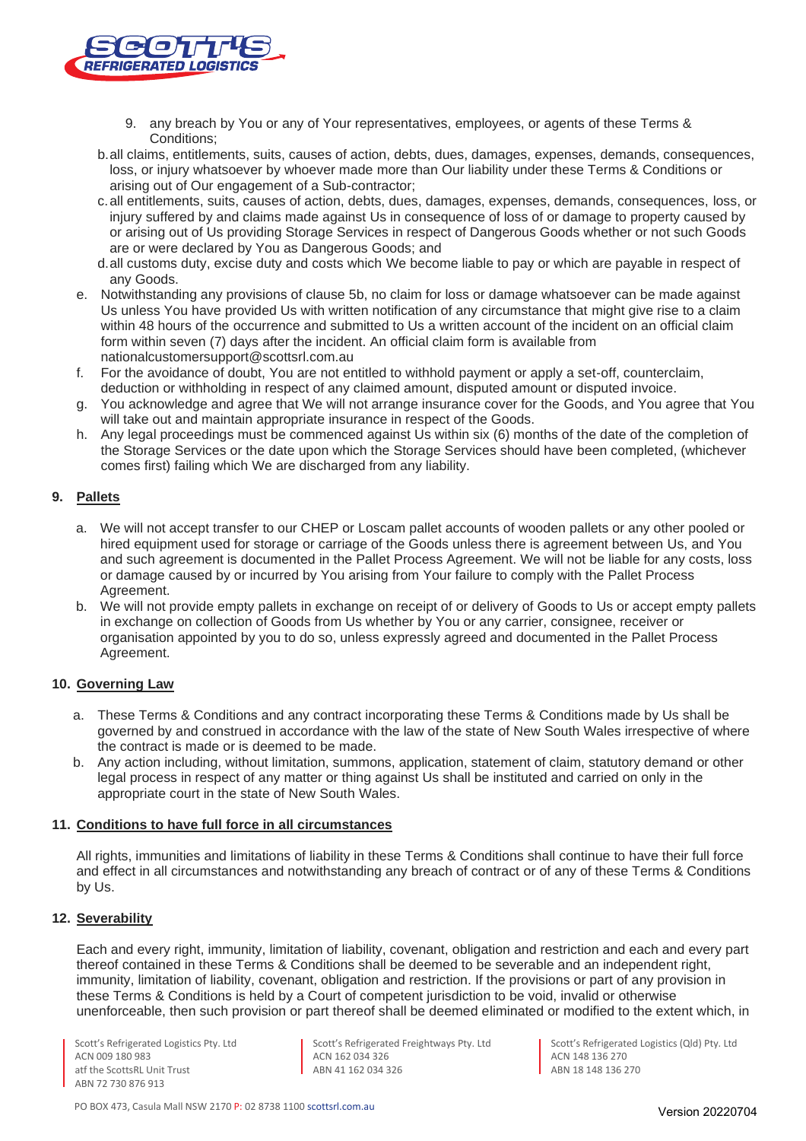

- 9. any breach by You or any of Your representatives, employees, or agents of these Terms & Conditions;
- b.all claims, entitlements, suits, causes of action, debts, dues, damages, expenses, demands, consequences, loss, or injury whatsoever by whoever made more than Our liability under these Terms & Conditions or arising out of Our engagement of a Sub-contractor;
- c.all entitlements, suits, causes of action, debts, dues, damages, expenses, demands, consequences, loss, or injury suffered by and claims made against Us in consequence of loss of or damage to property caused by or arising out of Us providing Storage Services in respect of Dangerous Goods whether or not such Goods are or were declared by You as Dangerous Goods; and
- d.all customs duty, excise duty and costs which We become liable to pay or which are payable in respect of any Goods.
- e. Notwithstanding any provisions of clause 5b, no claim for loss or damage whatsoever can be made against Us unless You have provided Us with written notification of any circumstance that might give rise to a claim within 48 hours of the occurrence and submitted to Us a written account of the incident on an official claim form within seven (7) days after the incident. An official claim form is available from nationalcustomersupport@scottsrl.com.au
- f. For the avoidance of doubt, You are not entitled to withhold payment or apply a set-off, counterclaim, deduction or withholding in respect of any claimed amount, disputed amount or disputed invoice.
- g. You acknowledge and agree that We will not arrange insurance cover for the Goods, and You agree that You will take out and maintain appropriate insurance in respect of the Goods.
- h. Any legal proceedings must be commenced against Us within six (6) months of the date of the completion of the Storage Services or the date upon which the Storage Services should have been completed, (whichever comes first) failing which We are discharged from any liability.

# **9. Pallets**

- a. We will not accept transfer to our CHEP or Loscam pallet accounts of wooden pallets or any other pooled or hired equipment used for storage or carriage of the Goods unless there is agreement between Us, and You and such agreement is documented in the Pallet Process Agreement. We will not be liable for any costs, loss or damage caused by or incurred by You arising from Your failure to comply with the Pallet Process Agreement.
- b. We will not provide empty pallets in exchange on receipt of or delivery of Goods to Us or accept empty pallets in exchange on collection of Goods from Us whether by You or any carrier, consignee, receiver or organisation appointed by you to do so, unless expressly agreed and documented in the Pallet Process Agreement.

#### **10. Governing Law**

- a. These Terms & Conditions and any contract incorporating these Terms & Conditions made by Us shall be governed by and construed in accordance with the law of the state of New South Wales irrespective of where the contract is made or is deemed to be made.
- b. Any action including, without limitation, summons, application, statement of claim, statutory demand or other legal process in respect of any matter or thing against Us shall be instituted and carried on only in the appropriate court in the state of New South Wales.

#### **11. Conditions to have full force in all circumstances**

All rights, immunities and limitations of liability in these Terms & Conditions shall continue to have their full force and effect in all circumstances and notwithstanding any breach of contract or of any of these Terms & Conditions by Us.

#### **12. Severability**

Each and every right, immunity, limitation of liability, covenant, obligation and restriction and each and every part thereof contained in these Terms & Conditions shall be deemed to be severable and an independent right, immunity, limitation of liability, covenant, obligation and restriction. If the provisions or part of any provision in these Terms & Conditions is held by a Court of competent jurisdiction to be void, invalid or otherwise unenforceable, then such provision or part thereof shall be deemed eliminated or modified to the extent which, in

Scott's Refrigerated Logistics Pty. Ltd ACN 009 180 983 atf the ScottsRL Unit Trust ABN 72 730 876 913

Scott's Refrigerated Freightways Pty. Ltd ACN 162 034 326 ABN 41 162 034 326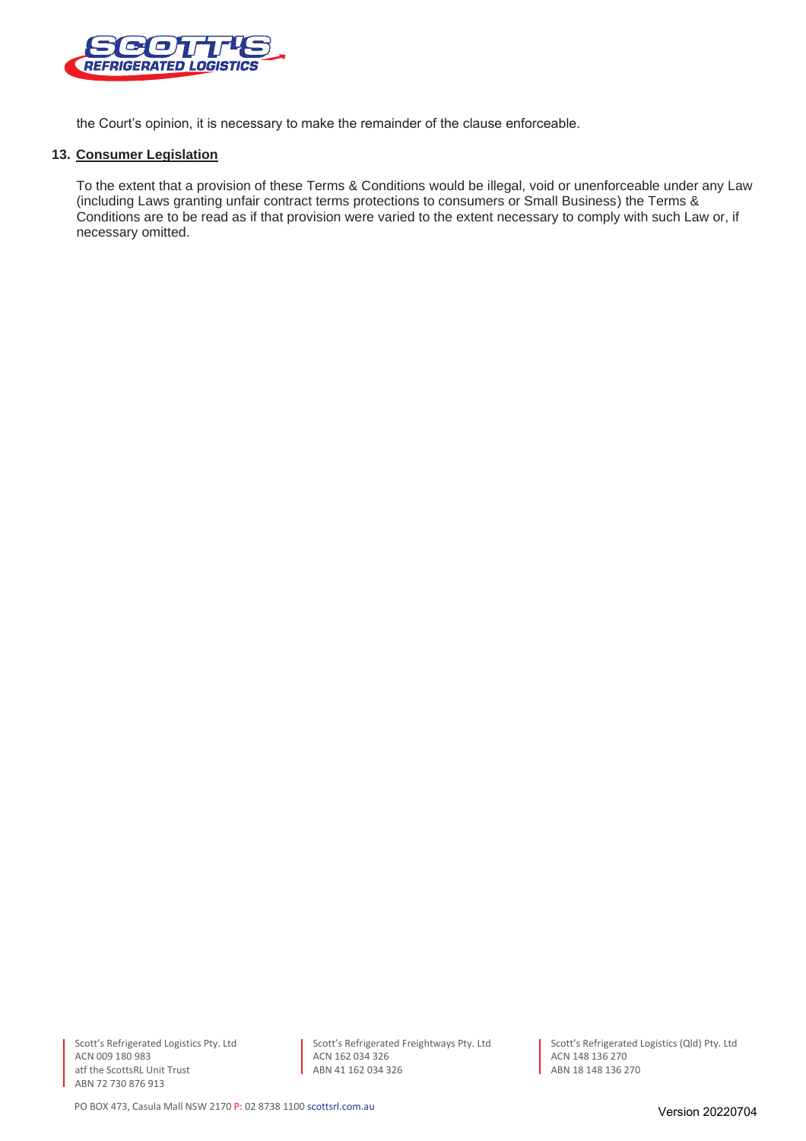

the Court's opinion, it is necessary to make the remainder of the clause enforceable.

#### **13. Consumer Legislation**

To the extent that a provision of these Terms & Conditions would be illegal, void or unenforceable under any Law (including Laws granting unfair contract terms protections to consumers or Small Business) the Terms & Conditions are to be read as if that provision were varied to the extent necessary to comply with such Law or, if necessary omitted.

Scott's Refrigerated Logistics Pty. Ltd ACN 009 180 983 atf the ScottsRL Unit Trust ABN 72 730 876 913

Scott's Refrigerated Freightways Pty. Ltd ACN 162 034 326 ABN 41 162 034 326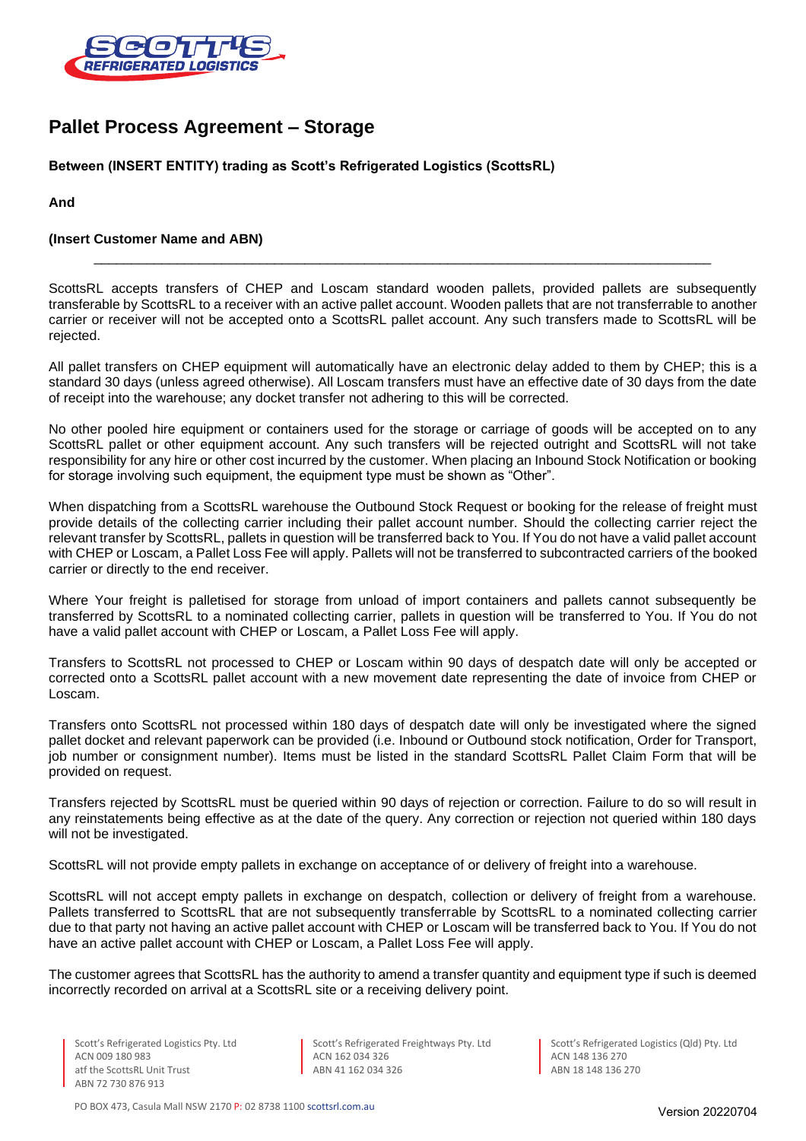

# **Pallet Process Agreement – Storage**

# **Between (INSERT ENTITY) trading as Scott's Refrigerated Logistics (ScottsRL)**

**And**

# **(Insert Customer Name and ABN)**

ScottsRL accepts transfers of CHEP and Loscam standard wooden pallets, provided pallets are subsequently transferable by ScottsRL to a receiver with an active pallet account. Wooden pallets that are not transferrable to another carrier or receiver will not be accepted onto a ScottsRL pallet account. Any such transfers made to ScottsRL will be rejected.

\_\_\_\_\_\_\_\_\_\_\_\_\_\_\_\_\_\_\_\_\_\_\_\_\_\_\_\_\_\_\_\_\_\_\_\_\_\_\_\_\_\_\_\_\_\_\_\_\_\_\_\_\_\_\_\_\_\_\_\_\_\_\_\_\_\_\_\_\_\_\_\_\_\_\_\_\_\_\_\_\_\_

All pallet transfers on CHEP equipment will automatically have an electronic delay added to them by CHEP; this is a standard 30 days (unless agreed otherwise). All Loscam transfers must have an effective date of 30 days from the date of receipt into the warehouse; any docket transfer not adhering to this will be corrected.

No other pooled hire equipment or containers used for the storage or carriage of goods will be accepted on to any ScottsRL pallet or other equipment account. Any such transfers will be rejected outright and ScottsRL will not take responsibility for any hire or other cost incurred by the customer. When placing an Inbound Stock Notification or booking for storage involving such equipment, the equipment type must be shown as "Other".

When dispatching from a ScottsRL warehouse the Outbound Stock Request or booking for the release of freight must provide details of the collecting carrier including their pallet account number. Should the collecting carrier reject the relevant transfer by ScottsRL, pallets in question will be transferred back to You. If You do not have a valid pallet account with CHEP or Loscam, a Pallet Loss Fee will apply. Pallets will not be transferred to subcontracted carriers of the booked carrier or directly to the end receiver.

Where Your freight is palletised for storage from unload of import containers and pallets cannot subsequently be transferred by ScottsRL to a nominated collecting carrier, pallets in question will be transferred to You. If You do not have a valid pallet account with CHEP or Loscam, a Pallet Loss Fee will apply.

Transfers to ScottsRL not processed to CHEP or Loscam within 90 days of despatch date will only be accepted or corrected onto a ScottsRL pallet account with a new movement date representing the date of invoice from CHEP or Loscam.

Transfers onto ScottsRL not processed within 180 days of despatch date will only be investigated where the signed pallet docket and relevant paperwork can be provided (i.e. Inbound or Outbound stock notification, Order for Transport, job number or consignment number). Items must be listed in the standard ScottsRL Pallet Claim Form that will be provided on request.

Transfers rejected by ScottsRL must be queried within 90 days of rejection or correction. Failure to do so will result in any reinstatements being effective as at the date of the query. Any correction or rejection not queried within 180 days will not be investigated.

ScottsRL will not provide empty pallets in exchange on acceptance of or delivery of freight into a warehouse.

ScottsRL will not accept empty pallets in exchange on despatch, collection or delivery of freight from a warehouse. Pallets transferred to ScottsRL that are not subsequently transferrable by ScottsRL to a nominated collecting carrier due to that party not having an active pallet account with CHEP or Loscam will be transferred back to You. If You do not have an active pallet account with CHEP or Loscam, a Pallet Loss Fee will apply.

The customer agrees that ScottsRL has the authority to amend a transfer quantity and equipment type if such is deemed incorrectly recorded on arrival at a ScottsRL site or a receiving delivery point.

Scott's Refrigerated Freightways Pty. Ltd ACN 162 034 326 ABN 41 162 034 326